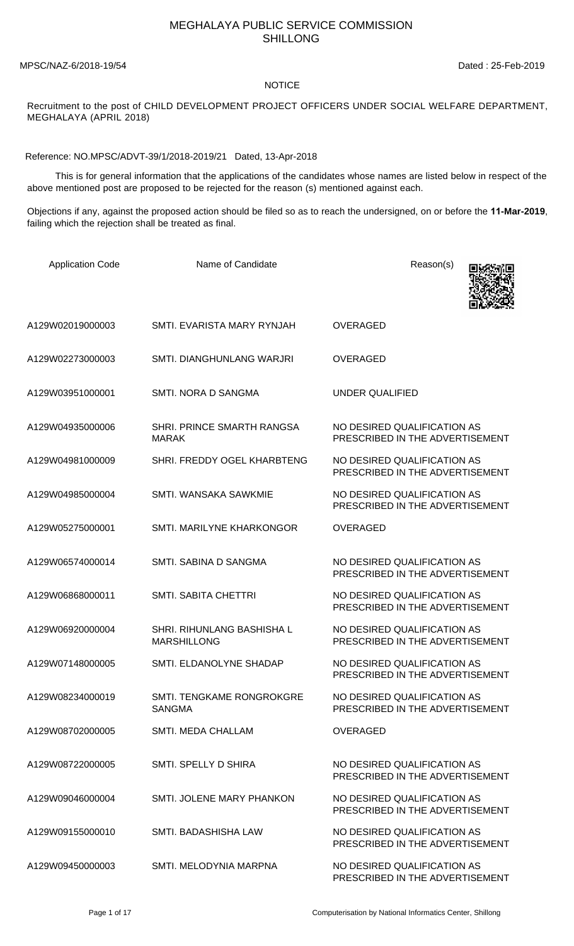## MEGHALAYA PUBLIC SERVICE COMMISSION SHILLONG

MPSC/NAZ-6/2018-19/54 Dated : 25-Feb-2019

## NOTICE

Recruitment to the post of CHILD DEVELOPMENT PROJECT OFFICERS UNDER SOCIAL WELFARE DEPARTMENT, MEGHALAYA (APRIL 2018)

Reference: NO.MPSC/ADVT-39/1/2018-2019/21 Dated, 13-Apr-2018

 This is for general information that the applications of the candidates whose names are listed below in respect of the above mentioned post are proposed to be rejected for the reason (s) mentioned against each.

Objections if any, against the proposed action should be filed so as to reach the undersigned, on or before the **11-Mar-2019**, failing which the rejection shall be treated as final.

| <b>Application Code</b> | Name of Candidate                                 | Reason(s)                                                      |
|-------------------------|---------------------------------------------------|----------------------------------------------------------------|
| A129W02019000003        | SMTI. EVARISTA MARY RYNJAH                        | <b>OVERAGED</b>                                                |
| A129W02273000003        | SMTI. DIANGHUNLANG WARJRI                         | <b>OVERAGED</b>                                                |
| A129W03951000001        | SMTL NORA D SANGMA                                | <b>UNDER QUALIFIED</b>                                         |
| A129W04935000006        | SHRI. PRINCE SMARTH RANGSA<br><b>MARAK</b>        | NO DESIRED QUALIFICATION AS<br>PRESCRIBED IN THE ADVERTISEMENT |
| A129W04981000009        | SHRI. FREDDY OGEL KHARBTENG                       | NO DESIRED QUALIFICATION AS<br>PRESCRIBED IN THE ADVERTISEMENT |
| A129W04985000004        | SMTI. WANSAKA SAWKMIE                             | NO DESIRED QUALIFICATION AS<br>PRESCRIBED IN THE ADVERTISEMENT |
| A129W05275000001        | SMTI. MARILYNE KHARKONGOR                         | <b>OVERAGED</b>                                                |
| A129W06574000014        | SMTI. SABINA D SANGMA                             | NO DESIRED QUALIFICATION AS<br>PRESCRIBED IN THE ADVERTISEMENT |
| A129W06868000011        | <b>SMTI. SABITA CHETTRI</b>                       | NO DESIRED QUALIFICATION AS<br>PRESCRIBED IN THE ADVERTISEMENT |
| A129W06920000004        | SHRI. RIHUNLANG BASHISHA L<br><b>MARSHILLONG</b>  | NO DESIRED QUALIFICATION AS<br>PRESCRIBED IN THE ADVERTISEMENT |
| A129W07148000005        | SMTI. ELDANOLYNE SHADAP                           | NO DESIRED QUALIFICATION AS<br>PRESCRIBED IN THE ADVERTISEMENT |
| A129W08234000019        | <b>SMTI. TENGKAME RONGROKGRE</b><br><b>SANGMA</b> | NO DESIRED OUALIFICATION AS<br>PRESCRIBED IN THE ADVERTISEMENT |
| A129W08702000005        | SMTI. MEDA CHALLAM                                | <b>OVERAGED</b>                                                |
| A129W08722000005        | SMTI. SPELLY D SHIRA                              | NO DESIRED QUALIFICATION AS<br>PRESCRIBED IN THE ADVERTISEMENT |
| A129W09046000004        | SMTI. JOLENE MARY PHANKON                         | NO DESIRED OUALIFICATION AS<br>PRESCRIBED IN THE ADVERTISEMENT |
| A129W09155000010        | SMTI. BADASHISHA LAW                              | NO DESIRED QUALIFICATION AS<br>PRESCRIBED IN THE ADVERTISEMENT |
| A129W09450000003        | SMTI. MELODYNIA MARPNA                            | NO DESIRED QUALIFICATION AS<br>PRESCRIBED IN THE ADVERTISEMENT |

Page 1 of 17 **Page 1 of 17** Computerisation by National Informatics Center, Shillong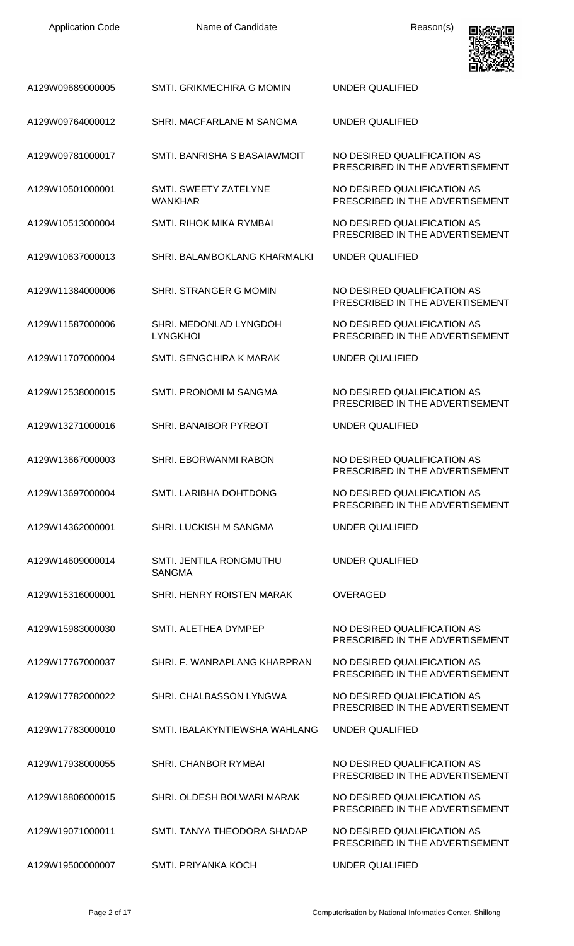| <b>Application Code</b> | Name of Candidate                         | Reason(s)                                                      |
|-------------------------|-------------------------------------------|----------------------------------------------------------------|
| A129W09689000005        | SMTI. GRIKMECHIRA G MOMIN                 | <b>UNDER QUALIFIED</b>                                         |
| A129W09764000012        | SHRI. MACFARLANE M SANGMA                 | <b>UNDER QUALIFIED</b>                                         |
| A129W09781000017        | SMTI. BANRISHA S BASAIAWMOIT              | NO DESIRED QUALIFICATION AS<br>PRESCRIBED IN THE ADVERTISEMENT |
| A129W10501000001        | SMTI. SWEETY ZATELYNE<br><b>WANKHAR</b>   | NO DESIRED QUALIFICATION AS<br>PRESCRIBED IN THE ADVERTISEMENT |
| A129W10513000004        | SMTI. RIHOK MIKA RYMBAI                   | NO DESIRED QUALIFICATION AS<br>PRESCRIBED IN THE ADVERTISEMENT |
| A129W10637000013        | SHRI. BALAMBOKLANG KHARMALKI              | UNDER QUALIFIED                                                |
| A129W11384000006        | SHRI. STRANGER G MOMIN                    | NO DESIRED QUALIFICATION AS<br>PRESCRIBED IN THE ADVERTISEMENT |
| A129W11587000006        | SHRI. MEDONLAD LYNGDOH<br><b>LYNGKHOI</b> | NO DESIRED QUALIFICATION AS<br>PRESCRIBED IN THE ADVERTISEMENT |
| A129W11707000004        | SMTI. SENGCHIRA K MARAK                   | <b>UNDER QUALIFIED</b>                                         |
| A129W12538000015        | SMTI. PRONOMI M SANGMA                    | NO DESIRED QUALIFICATION AS<br>PRESCRIBED IN THE ADVERTISEMENT |
| A129W13271000016        | SHRI. BANAIBOR PYRBOT                     | UNDER QUALIFIED                                                |
| A129W13667000003        | SHRI. EBORWANMI RABON                     | NO DESIRED QUALIFICATION AS<br>PRESCRIBED IN THE ADVERTISEMENT |
| A129W13697000004        | SMTI. LARIBHA DOHTDONG                    | NO DESIRED QUALIFICATION AS<br>PRESCRIBED IN THE ADVERTISEMENT |
| A129W14362000001        | <b>SHRI. LUCKISH M SANGMA</b>             | <b>UNDER QUALIFIED</b>                                         |
| A129W14609000014        | SMTI. JENTILA RONGMUTHU<br><b>SANGMA</b>  | UNDER QUALIFIED                                                |
| A129W15316000001        | SHRI. HENRY ROISTEN MARAK                 | <b>OVERAGED</b>                                                |
| A129W15983000030        | SMTI. ALETHEA DYMPEP                      | NO DESIRED QUALIFICATION AS<br>PRESCRIBED IN THE ADVERTISEMENT |
| A129W17767000037        | SHRI. F. WANRAPLANG KHARPRAN              | NO DESIRED QUALIFICATION AS<br>PRESCRIBED IN THE ADVERTISEMENT |
| A129W17782000022        | SHRI. CHALBASSON LYNGWA                   | NO DESIRED QUALIFICATION AS<br>PRESCRIBED IN THE ADVERTISEMENT |
| A129W17783000010        | SMTI. IBALAKYNTIEWSHA WAHLANG             | UNDER QUALIFIED                                                |
| A129W17938000055        | SHRI. CHANBOR RYMBAI                      | NO DESIRED QUALIFICATION AS<br>PRESCRIBED IN THE ADVERTISEMENT |
| A129W18808000015        | SHRI. OLDESH BOLWARI MARAK                | NO DESIRED QUALIFICATION AS<br>PRESCRIBED IN THE ADVERTISEMENT |
| A129W19071000011        | SMTI. TANYA THEODORA SHADAP               | NO DESIRED QUALIFICATION AS<br>PRESCRIBED IN THE ADVERTISEMENT |
| A129W19500000007        | SMTI. PRIYANKA KOCH                       | UNDER QUALIFIED                                                |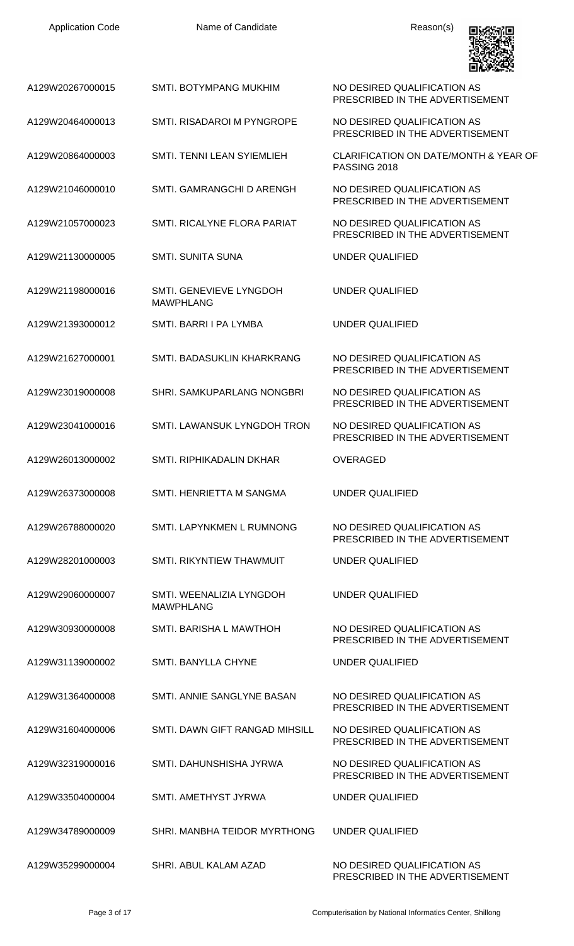| <b>Application Code</b> | Name of Candidate                            | Reason(s)                                                      |
|-------------------------|----------------------------------------------|----------------------------------------------------------------|
| A129W20267000015        | <b>SMTI. BOTYMPANG MUKHIM</b>                | NO DESIRED QUALIFICATION AS<br>PRESCRIBED IN THE ADVERTISEMENT |
| A129W20464000013        | SMTI. RISADAROI M PYNGROPE                   | NO DESIRED QUALIFICATION AS<br>PRESCRIBED IN THE ADVERTISEMENT |
| A129W20864000003        | SMTI. TENNI LEAN SYIEMLIEH                   | CLARIFICATION ON DATE/MONTH & YEAR OF<br>PASSING 2018          |
| A129W21046000010        | SMTI. GAMRANGCHI D ARENGH                    | NO DESIRED QUALIFICATION AS<br>PRESCRIBED IN THE ADVERTISEMENT |
| A129W21057000023        | SMTI. RICALYNE FLORA PARIAT                  | NO DESIRED QUALIFICATION AS<br>PRESCRIBED IN THE ADVERTISEMENT |
| A129W21130000005        | <b>SMTI. SUNITA SUNA</b>                     | <b>UNDER QUALIFIED</b>                                         |
| A129W21198000016        | SMTI. GENEVIEVE LYNGDOH<br><b>MAWPHLANG</b>  | <b>UNDER QUALIFIED</b>                                         |
| A129W21393000012        | SMTI. BARRI I PA LYMBA                       | <b>UNDER QUALIFIED</b>                                         |
| A129W21627000001        | SMTI. BADASUKLIN KHARKRANG                   | NO DESIRED QUALIFICATION AS<br>PRESCRIBED IN THE ADVERTISEMENT |
| A129W23019000008        | <b>SHRI. SAMKUPARLANG NONGBRI</b>            | NO DESIRED QUALIFICATION AS<br>PRESCRIBED IN THE ADVERTISEMENT |
| A129W23041000016        | SMTI. LAWANSUK LYNGDOH TRON                  | NO DESIRED QUALIFICATION AS<br>PRESCRIBED IN THE ADVERTISEMENT |
| A129W26013000002        | SMTI, RIPHIKADALIN DKHAR                     | <b>OVERAGED</b>                                                |
| A129W26373000008        | SMTI. HENRIETTA M SANGMA                     | UNDER QUALIFIED                                                |
| A129W26788000020        | SMTI. LAPYNKMEN L RUMNONG                    | NO DESIRED QUALIFICATION AS<br>PRESCRIBED IN THE ADVERTISEMENT |
| A129W28201000003        | SMTI, RIKYNTIEW THAWMUIT                     | UNDER QUALIFIED                                                |
| A129W29060000007        | SMTI. WEENALIZIA LYNGDOH<br><b>MAWPHLANG</b> | UNDER QUALIFIED                                                |
| A129W30930000008        | SMTI. BARISHA L MAWTHOH                      | NO DESIRED QUALIFICATION AS<br>PRESCRIBED IN THE ADVERTISEMENT |
| A129W31139000002        | SMTI. BANYLLA CHYNE                          | UNDER QUALIFIED                                                |
| A129W31364000008        | SMTI, ANNIE SANGLYNE BASAN                   | NO DESIRED QUALIFICATION AS<br>PRESCRIBED IN THE ADVERTISEMENT |
| A129W31604000006        | SMTI. DAWN GIFT RANGAD MIHSILL               | NO DESIRED QUALIFICATION AS<br>PRESCRIBED IN THE ADVERTISEMENT |
| A129W32319000016        | SMTI. DAHUNSHISHA JYRWA                      | NO DESIRED QUALIFICATION AS<br>PRESCRIBED IN THE ADVERTISEMENT |
| A129W33504000004        | SMTI. AMETHYST JYRWA                         | UNDER QUALIFIED                                                |
| A129W34789000009        | SHRI. MANBHA TEIDOR MYRTHONG                 | UNDER OUALIFIED                                                |
| A129W35299000004        | SHRI. ABUL KALAM AZAD                        | NO DESIRED QUALIFICATION AS<br>PRESCRIBED IN THE ADVERTISEMENT |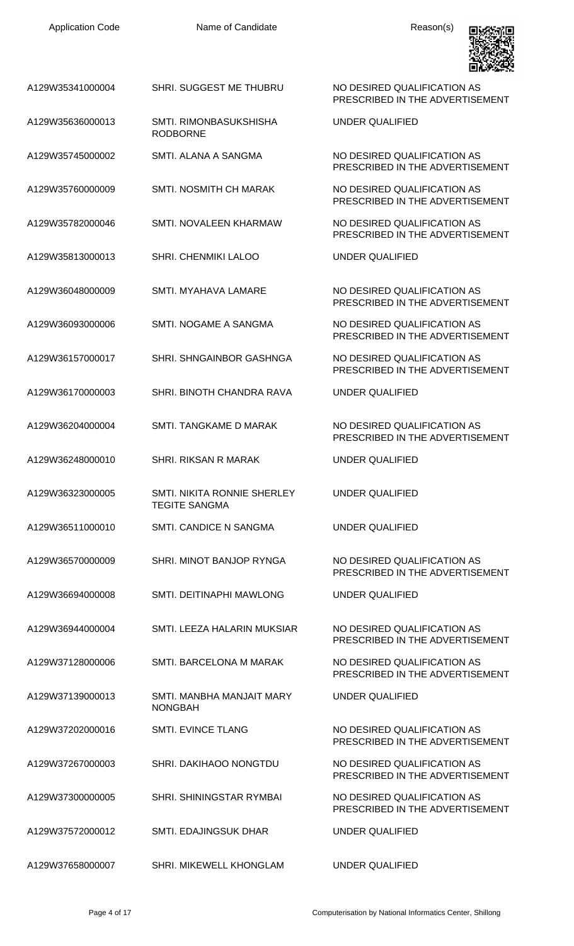PRESCRIBED IN THE ADVERTISEMENT

PRESCRIBED IN THE ADVERTISEMENT

PRESCRIBED IN THE ADVERTISEMENT

PRESCRIBED IN THE ADVERTISEMENT

PRESCRIBED IN THE ADVERTISEMENT

PRESCRIBED IN THE ADVERTISEMENT

PRESCRIBED IN THE ADVERTISEMENT

PRESCRIBED IN THE ADVERTISEMENT

PRESCRIBED IN THE ADVERTISEMENT

PRESCRIBED IN THE ADVERTISEMENT

PRESCRIBED IN THE ADVERTISEMENT

PRESCRIBED IN THE ADVERTISEMENT

PRESCRIBED IN THE ADVERTISEMENT

PRESCRIBED IN THE ADVERTISEMENT

UNDER QUALIFIED

UNDER QUALIFIED



A129W35341000004 SHRI. SUGGEST ME THUBRU NO DESIRED QUALIFICATION AS

- A129W35636000013 SMTI. RIMONBASUKSHISHA RODBORNE
- A129W35745000002 SMTI. ALANA A SANGMA NO DESIRED QUALIFICATION AS
- A129W35760000009 SMTI. NOSMITH CH MARAK NO DESIRED QUALIFICATION AS
- A129W35782000046 SMTI. NOVALEEN KHARMAW NO DESIRED QUALIFICATION AS
- A129W35813000013 SHRI. CHENMIKI LALOO UNDER QUALIFIED
- A129W36048000009 SMTI. MYAHAVA LAMARE NO DESIRED QUALIFICATION AS
- A129W36093000006 SMTI. NOGAME A SANGMA NO DESIRED QUALIFICATION AS
- A129W36157000017 SHRI. SHNGAINBOR GASHNGA NO DESIRED QUALIFICATION AS
- A129W36170000003 SHRI. BINOTH CHANDRA RAVA UNDER QUALIFIED
- A129W36204000004 SMTI. TANGKAME D MARAK NO DESIRED QUALIFICATION AS
- A129W36248000010 SHRI. RIKSAN R MARAK UNDER QUALIFIED
- A129W36323000005 SMTI. NIKITA RONNIE SHERLEY TEGITE SANGMA
- A129W36511000010 SMTI. CANDICE N SANGMA UNDER QUALIFIED
- A129W36570000009 SHRI. MINOT BANJOP RYNGA NO DESIRED QUALIFICATION AS
- A129W36694000008 SMTI. DEITINAPHI MAWLONG UNDER QUALIFIED
- A129W36944000004 SMTI. LEEZA HALARIN MUKSIAR NO DESIRED QUALIFICATION AS
- A129W37128000006 SMTI. BARCELONA M MARAK NO DESIRED QUALIFICATION AS
- A129W37139000013 SMTI. MANBHA MANJAIT MARY NONGBAH
- A129W37202000016 SMTI. EVINCE TLANG NO DESIRED QUALIFICATION AS
- A129W37267000003 SHRI. DAKIHAOO NONGTDU NO DESIRED QUALIFICATION AS
- A129W37300000005 SHRI. SHININGSTAR RYMBAI NO DESIRED QUALIFICATION AS
- A129W37572000012 SMTI. EDAJINGSUK DHAR UNDER QUALIFIED
- A129W37658000007 SHRI. MIKEWELL KHONGLAM UNDER QUALIFIED

UNDER QUALIFIED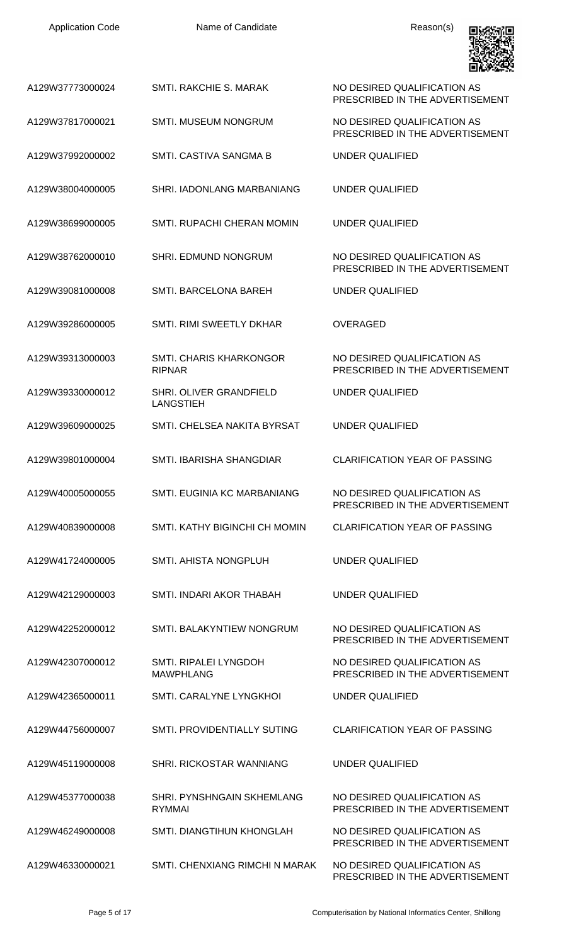| <b>Application Code</b> | Name of Candidate                               | Reason(s)                                                      |
|-------------------------|-------------------------------------------------|----------------------------------------------------------------|
| A129W37773000024        | SMTI, RAKCHIE S. MARAK                          | NO DESIRED QUALIFICATION AS<br>PRESCRIBED IN THE ADVERTISEMENT |
| A129W37817000021        | <b>SMTI. MUSEUM NONGRUM</b>                     | NO DESIRED QUALIFICATION AS<br>PRESCRIBED IN THE ADVERTISEMENT |
| A129W37992000002        | SMTI. CASTIVA SANGMA B                          | UNDER QUALIFIED                                                |
| A129W38004000005        | SHRI. IADONLANG MARBANIANG                      | UNDER QUALIFIED                                                |
| A129W38699000005        | SMTI. RUPACHI CHERAN MOMIN                      | UNDER QUALIFIED                                                |
| A129W38762000010        | SHRI. EDMUND NONGRUM                            | NO DESIRED QUALIFICATION AS<br>PRESCRIBED IN THE ADVERTISEMENT |
| A129W39081000008        | SMTI. BARCELONA BAREH                           | UNDER QUALIFIED                                                |
| A129W39286000005        | SMTI, RIMI SWEETLY DKHAR                        | <b>OVERAGED</b>                                                |
| A129W39313000003        | <b>SMTI. CHARIS KHARKONGOR</b><br><b>RIPNAR</b> | NO DESIRED QUALIFICATION AS<br>PRESCRIBED IN THE ADVERTISEMENT |
| A129W39330000012        | SHRI. OLIVER GRANDFIELD<br><b>LANGSTIEH</b>     | <b>UNDER QUALIFIED</b>                                         |
| A129W39609000025        | SMTI, CHELSEA NAKITA BYRSAT                     | UNDER QUALIFIED                                                |
| A129W39801000004        | SMTI, IBARISHA SHANGDIAR                        | <b>CLARIFICATION YEAR OF PASSING</b>                           |
| A129W40005000055        | SMTL EUGINIA KC MARBANIANG                      | NO DESIRED QUALIFICATION AS<br>PRESCRIBED IN THE ADVERTISEMENT |
| A129W40839000008        | SMTI, KATHY BIGINCHI CH MOMIN                   | <b>CLARIFICATION YEAR OF PASSING</b>                           |
| A129W41724000005        | SMTI. AHISTA NONGPLUH                           | <b>UNDER QUALIFIED</b>                                         |
| A129W42129000003        | SMTI. INDARI AKOR THABAH                        | <b>UNDER QUALIFIED</b>                                         |
| A129W42252000012        | SMTI. BALAKYNTIEW NONGRUM                       | NO DESIRED QUALIFICATION AS<br>PRESCRIBED IN THE ADVERTISEMENT |
| A129W42307000012        | SMTI. RIPALEI LYNGDOH<br><b>MAWPHLANG</b>       | NO DESIRED QUALIFICATION AS<br>PRESCRIBED IN THE ADVERTISEMENT |
| A129W42365000011        | SMTI, CARALYNE LYNGKHOL                         | UNDER QUALIFIED                                                |
| A129W44756000007        | SMTI. PROVIDENTIALLY SUTING                     | <b>CLARIFICATION YEAR OF PASSING</b>                           |
| A129W45119000008        | SHRI. RICKOSTAR WANNIANG                        | UNDER QUALIFIED                                                |
| A129W45377000038        | SHRI. PYNSHNGAIN SKHEMLANG<br><b>RYMMAI</b>     | NO DESIRED OUALIFICATION AS<br>PRESCRIBED IN THE ADVERTISEMENT |
| A129W46249000008        | SMTI. DIANGTIHUN KHONGLAH                       | NO DESIRED QUALIFICATION AS<br>PRESCRIBED IN THE ADVERTISEMENT |
| A129W46330000021        | SMTI. CHENXIANG RIMCHI N MARAK                  | NO DESIRED QUALIFICATION AS<br>PRESCRIBED IN THE ADVERTISEMENT |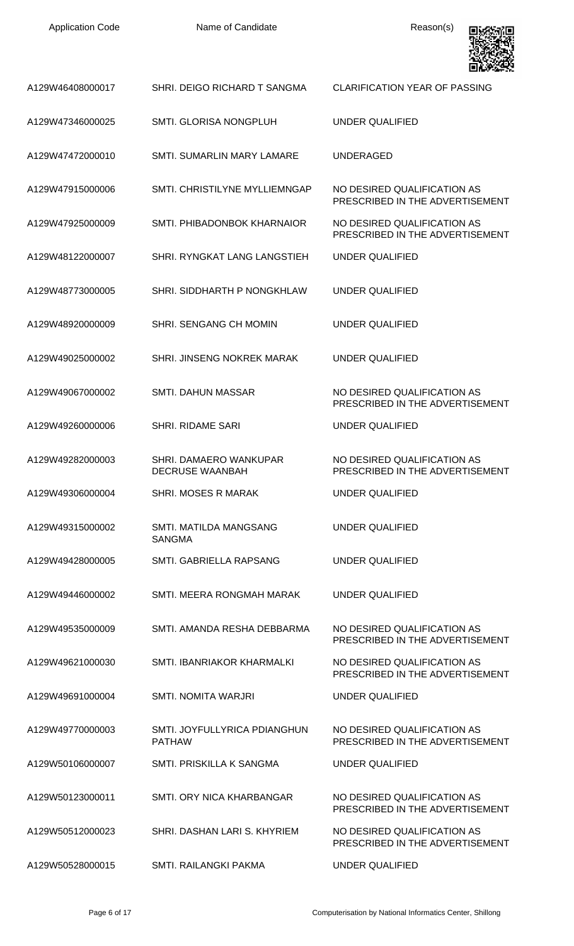| <b>Application Code</b> |  |
|-------------------------|--|
|-------------------------|--|

Name of Candidate **Reason(s)** 



| A129W46408000017 | SHRI. DEIGO RICHARD T SANGMA                     | <b>CLARIFICATION YEAR OF PASSING</b>                           |
|------------------|--------------------------------------------------|----------------------------------------------------------------|
| A129W47346000025 | SMTI. GLORISA NONGPLUH                           | UNDER QUALIFIED                                                |
| A129W47472000010 | <b>SMTI. SUMARLIN MARY LAMARE</b>                | <b>UNDERAGED</b>                                               |
| A129W47915000006 | SMTI, CHRISTILYNE MYLLIEMNGAP                    | NO DESIRED QUALIFICATION AS<br>PRESCRIBED IN THE ADVERTISEMENT |
| A129W47925000009 | SMTI. PHIBADONBOK KHARNAIOR                      | NO DESIRED QUALIFICATION AS<br>PRESCRIBED IN THE ADVERTISEMENT |
| A129W48122000007 | SHRI. RYNGKAT LANG LANGSTIEH                     | UNDER QUALIFIED                                                |
| A129W48773000005 | SHRI. SIDDHARTH P NONGKHLAW                      | UNDER QUALIFIED                                                |
| A129W48920000009 | SHRI. SENGANG CH MOMIN                           | UNDER QUALIFIED                                                |
| A129W49025000002 | <b>SHRI. JINSENG NOKREK MARAK</b>                | UNDER QUALIFIED                                                |
| A129W49067000002 | SMTI. DAHUN MASSAR                               | NO DESIRED QUALIFICATION AS<br>PRESCRIBED IN THE ADVERTISEMENT |
| A129W49260000006 | <b>SHRI. RIDAME SARI</b>                         | UNDER QUALIFIED                                                |
| A129W49282000003 | SHRI. DAMAERO WANKUPAR<br><b>DECRUSE WAANBAH</b> | NO DESIRED QUALIFICATION AS<br>PRESCRIBED IN THE ADVERTISEMENT |
| A129W49306000004 | SHRI. MOSES R MARAK                              | <b>UNDER QUALIFIED</b>                                         |
| A129W49315000002 | SMTI. MATILDA MANGSANG<br><b>SANGMA</b>          | <b>UNDER QUALIFIED</b>                                         |
| A129W49428000005 | SMTI. GABRIELLA RAPSANG                          | UNDER QUALIFIED                                                |
| A129W49446000002 | SMTI. MEERA RONGMAH MARAK                        | UNDER QUALIFIED                                                |
| A129W49535000009 | SMTI. AMANDA RESHA DEBBARMA                      | NO DESIRED QUALIFICATION AS<br>PRESCRIBED IN THE ADVERTISEMENT |
| A129W49621000030 | SMTI. IBANRIAKOR KHARMALKI                       | NO DESIRED QUALIFICATION AS<br>PRESCRIBED IN THE ADVERTISEMENT |
| A129W49691000004 | <b>SMTI. NOMITA WARJRI</b>                       | UNDER QUALIFIED                                                |
| A129W49770000003 | SMTI. JOYFULLYRICA PDIANGHUN<br><b>PATHAW</b>    | NO DESIRED QUALIFICATION AS<br>PRESCRIBED IN THE ADVERTISEMENT |
| A129W50106000007 | SMTI. PRISKILLA K SANGMA                         | UNDER QUALIFIED                                                |
| A129W50123000011 | SMTI, ORY NICA KHARBANGAR                        | NO DESIRED QUALIFICATION AS<br>PRESCRIBED IN THE ADVERTISEMENT |
| A129W50512000023 | SHRI, DASHAN LARI S, KHYRIEM                     | NO DESIRED QUALIFICATION AS<br>PRESCRIBED IN THE ADVERTISEMENT |
| A129W50528000015 | <b>SMTI. RAILANGKI PAKMA</b>                     | <b>UNDER QUALIFIED</b>                                         |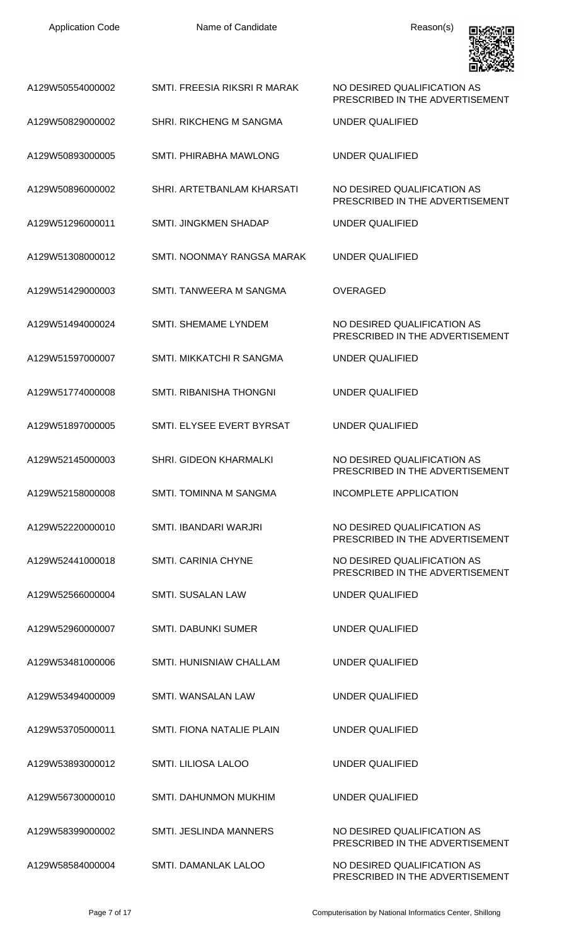| <b>Application Code</b> | Name of Candidate              | Reason(s)                                                      |
|-------------------------|--------------------------------|----------------------------------------------------------------|
| A129W50554000002        | SMTI. FREESIA RIKSRI R MARAK   | NO DESIRED QUALIFICATION AS<br>PRESCRIBED IN THE ADVERTISEMENT |
| A129W50829000002        | <b>SHRI. RIKCHENG M SANGMA</b> | <b>UNDER QUALIFIED</b>                                         |
| A129W50893000005        | SMTI. PHIRABHA MAWLONG         | <b>UNDER QUALIFIED</b>                                         |
| A129W50896000002        | SHRI. ARTETBANLAM KHARSATI     | NO DESIRED QUALIFICATION AS<br>PRESCRIBED IN THE ADVERTISEMENT |
| A129W51296000011        | SMTI. JINGKMEN SHADAP          | <b>UNDER QUALIFIED</b>                                         |
| A129W51308000012        | SMTI. NOONMAY RANGSA MARAK     | <b>UNDER QUALIFIED</b>                                         |
| A129W51429000003        | SMTI. TANWEERA M SANGMA        | <b>OVERAGED</b>                                                |
| A129W51494000024        | SMTI. SHEMAME LYNDEM           | NO DESIRED QUALIFICATION AS<br>PRESCRIBED IN THE ADVERTISEMENT |
| A129W51597000007        | SMTI. MIKKATCHI R SANGMA       | <b>UNDER QUALIFIED</b>                                         |
| A129W51774000008        | <b>SMTI. RIBANISHA THONGNI</b> | <b>UNDER QUALIFIED</b>                                         |
| A129W51897000005        | SMTL ELYSEE EVERT BYRSAT       | <b>UNDER QUALIFIED</b>                                         |
| A129W52145000003        | <b>SHRI. GIDEON KHARMALKI</b>  | NO DESIRED QUALIFICATION AS<br>PRESCRIBED IN THE ADVERTISEMENT |
| A129W52158000008        | SMTI. TOMINNA M SANGMA         | <b>INCOMPLETE APPLICATION</b>                                  |
| A129W52220000010        | SMTI. IBANDARI WARJRI          | NO DESIRED QUALIFICATION AS<br>PRESCRIBED IN THE ADVERTISEMENT |
| A129W52441000018        | <b>SMTI, CARINIA CHYNE</b>     | NO DESIRED QUALIFICATION AS<br>PRESCRIBED IN THE ADVERTISEMENT |
| A129W52566000004        | <b>SMTI. SUSALAN LAW</b>       | <b>UNDER QUALIFIED</b>                                         |
| A129W52960000007        | <b>SMTI. DABUNKI SUMER</b>     | UNDER QUALIFIED                                                |
| A129W53481000006        | SMTI. HUNISNIAW CHALLAM        | <b>UNDER QUALIFIED</b>                                         |
| A129W53494000009        | SMTI. WANSALAN LAW             | UNDER QUALIFIED                                                |
| A129W53705000011        | SMTI. FIONA NATALIE PLAIN      | UNDER QUALIFIED                                                |
| A129W53893000012        | SMTI. LILIOSA LALOO            | <b>UNDER QUALIFIED</b>                                         |
| A129W56730000010        | SMTI. DAHUNMON MUKHIM          | UNDER QUALIFIED                                                |
| A129W58399000002        | <b>SMTI. JESLINDA MANNERS</b>  | NO DESIRED QUALIFICATION AS<br>PRESCRIBED IN THE ADVERTISEMENT |
| A129W58584000004        | SMTI. DAMANLAK LALOO           | NO DESIRED QUALIFICATION AS                                    |

PRESCRIBED IN THE ADVERTISEMENT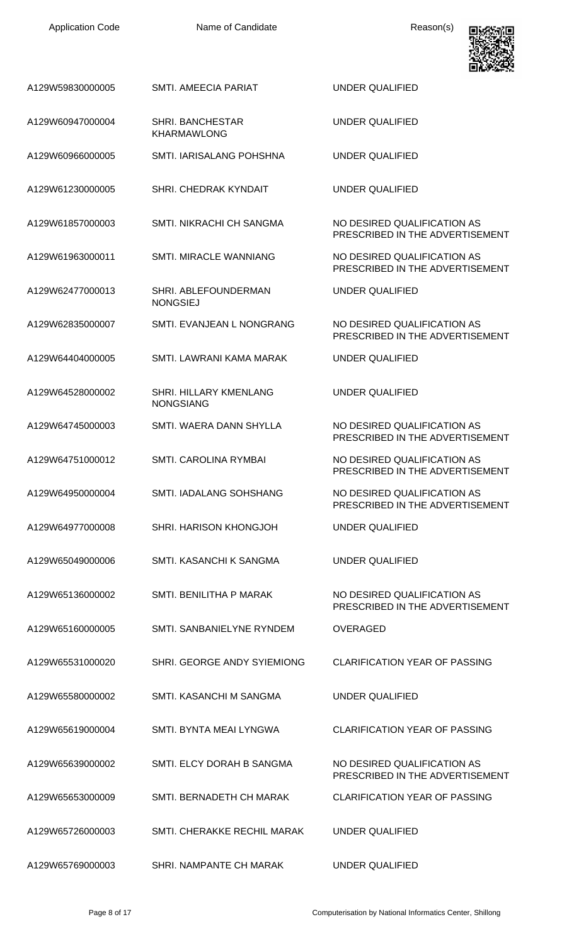| A129W59830000005 | <b>SMTI. AMEECIA PARIAT</b>                   | <b>UNDER QUALIFIED</b>                                         |
|------------------|-----------------------------------------------|----------------------------------------------------------------|
| A129W60947000004 | <b>SHRI. BANCHESTAR</b><br><b>KHARMAWLONG</b> | <b>UNDER QUALIFIED</b>                                         |
| A129W60966000005 | SMTI. IARISALANG POHSHNA                      | <b>UNDER QUALIFIED</b>                                         |
| A129W61230000005 | SHRI. CHEDRAK KYNDAIT                         | <b>UNDER QUALIFIED</b>                                         |
| A129W61857000003 | <b>SMTI. NIKRACHI CH SANGMA</b>               | NO DESIRED QUALIFICATION AS<br>PRESCRIBED IN THE ADVERTISEMENT |
| A129W61963000011 | <b>SMTI. MIRACLE WANNIANG</b>                 | NO DESIRED QUALIFICATION AS<br>PRESCRIBED IN THE ADVERTISEMENT |
| A129W62477000013 | SHRI. ABLEFOUNDERMAN<br><b>NONGSIEJ</b>       | UNDER QUALIFIED                                                |
| A129W62835000007 | SMTI. EVANJEAN L NONGRANG                     | NO DESIRED QUALIFICATION AS<br>PRESCRIBED IN THE ADVERTISEMENT |
| A129W64404000005 | SMTI. LAWRANI KAMA MARAK                      | UNDER QUALIFIED                                                |
| A129W64528000002 | SHRI. HILLARY KMENLANG<br><b>NONGSIANG</b>    | <b>UNDER QUALIFIED</b>                                         |
| A129W64745000003 | SMTI. WAERA DANN SHYLLA                       | NO DESIRED QUALIFICATION AS<br>PRESCRIBED IN THE ADVERTISEMENT |
| A129W64751000012 | SMTI. CAROLINA RYMBAI                         | NO DESIRED QUALIFICATION AS<br>PRESCRIBED IN THE ADVERTISEMENT |
| A129W64950000004 | SMTI. IADALANG SOHSHANG                       | NO DESIRED QUALIFICATION AS<br>PRESCRIBED IN THE ADVERTISEMENT |
| A129W64977000008 | SHRI. HARISON KHONGJOH                        | <b>UNDER QUALIFIED</b>                                         |
| A129W65049000006 | SMTI. KASANCHI K SANGMA                       | UNDER QUALIFIED                                                |
| A129W65136000002 | SMTI. BENILITHA P MARAK                       | NO DESIRED QUALIFICATION AS<br>PRESCRIBED IN THE ADVERTISEMENT |
| A129W65160000005 | SMTI, SANBANIELYNE RYNDEM                     | <b>OVERAGED</b>                                                |
| A129W65531000020 | SHRI. GEORGE ANDY SYIEMIONG                   | <b>CLARIFICATION YEAR OF PASSING</b>                           |
| A129W65580000002 | SMTI. KASANCHI M SANGMA                       | UNDER QUALIFIED                                                |
| A129W65619000004 | SMTI. BYNTA MEAI LYNGWA                       | <b>CLARIFICATION YEAR OF PASSING</b>                           |
| A129W65639000002 | SMTI. ELCY DORAH B SANGMA                     | NO DESIRED QUALIFICATION AS<br>PRESCRIBED IN THE ADVERTISEMENT |
| A129W65653000009 | SMTI. BERNADETH CH MARAK                      | <b>CLARIFICATION YEAR OF PASSING</b>                           |
| A129W65726000003 | SMTI. CHERAKKE RECHIL MARAK                   | UNDER QUALIFIED                                                |
| A129W65769000003 | SHRI. NAMPANTE CH MARAK                       | <b>UNDER QUALIFIED</b>                                         |

同识

 $\blacksquare$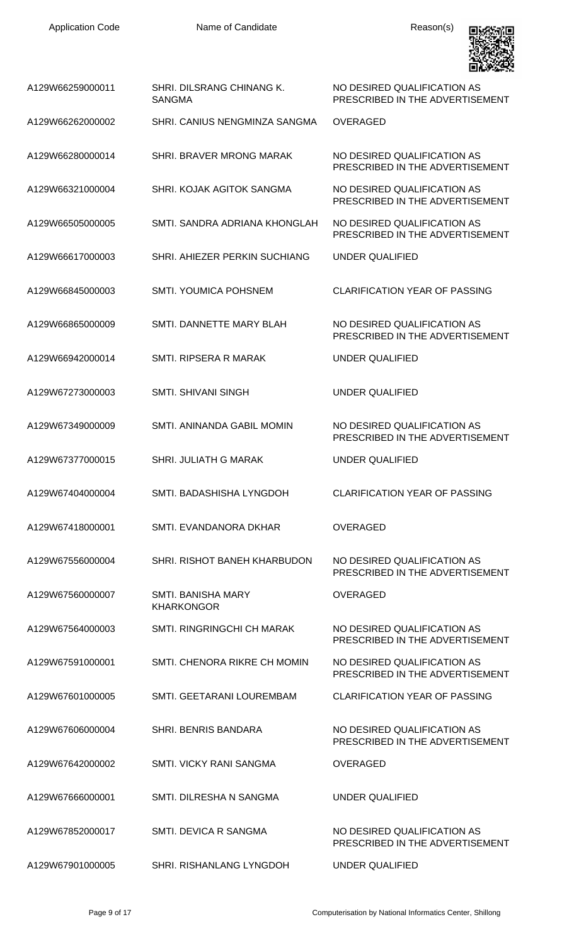

| A129W66259000011 | SHRI. DILSRANG CHINANG K.<br><b>SANGMA</b>     | NO DESIRED QUALIFICATION AS<br>PRESCRIBED IN THE ADVERTISEMENT |
|------------------|------------------------------------------------|----------------------------------------------------------------|
| A129W66262000002 | SHRI. CANIUS NENGMINZA SANGMA                  | <b>OVERAGED</b>                                                |
| A129W66280000014 | <b>SHRI, BRAVER MRONG MARAK</b>                | NO DESIRED QUALIFICATION AS<br>PRESCRIBED IN THE ADVERTISEMENT |
| A129W66321000004 | SHRI, KOJAK AGITOK SANGMA                      | NO DESIRED QUALIFICATION AS<br>PRESCRIBED IN THE ADVERTISEMENT |
| A129W66505000005 | SMTI, SANDRA ADRIANA KHONGLAH                  | NO DESIRED QUALIFICATION AS<br>PRESCRIBED IN THE ADVERTISEMENT |
| A129W66617000003 | SHRI. AHIEZER PERKIN SUCHIANG                  | <b>UNDER QUALIFIED</b>                                         |
| A129W66845000003 | <b>SMTI. YOUMICA POHSNEM</b>                   | <b>CLARIFICATION YEAR OF PASSING</b>                           |
| A129W66865000009 | SMTI, DANNETTE MARY BLAH                       | NO DESIRED QUALIFICATION AS<br>PRESCRIBED IN THE ADVERTISEMENT |
| A129W66942000014 | <b>SMTI. RIPSERA R MARAK</b>                   | UNDER QUALIFIED                                                |
| A129W67273000003 | <b>SMTI. SHIVANI SINGH</b>                     | <b>UNDER QUALIFIED</b>                                         |
| A129W67349000009 | SMTI. ANINANDA GABIL MOMIN                     | NO DESIRED QUALIFICATION AS<br>PRESCRIBED IN THE ADVERTISEMENT |
| A129W67377000015 | <b>SHRI. JULIATH G MARAK</b>                   | UNDER QUALIFIED                                                |
| A129W67404000004 | SMTI. BADASHISHA LYNGDOH                       | <b>CLARIFICATION YEAR OF PASSING</b>                           |
| A129W67418000001 | SMTI. EVANDANORA DKHAR                         | <b>OVERAGED</b>                                                |
| A129W67556000004 | SHRI. RISHOT BANEH KHARBUDON                   | NO DESIRED QUALIFICATION AS<br>PRESCRIBED IN THE ADVERTISEMENT |
| A129W67560000007 | <b>SMTI. BANISHA MARY</b><br><b>KHARKONGOR</b> | <b>OVERAGED</b>                                                |
| A129W67564000003 | SMTI. RINGRINGCHI CH MARAK                     | NO DESIRED QUALIFICATION AS<br>PRESCRIBED IN THE ADVERTISEMENT |
| A129W67591000001 | SMTI. CHENORA RIKRE CH MOMIN                   | NO DESIRED QUALIFICATION AS<br>PRESCRIBED IN THE ADVERTISEMENT |
| A129W67601000005 | SMTI. GEETARANI LOUREMBAM                      | <b>CLARIFICATION YEAR OF PASSING</b>                           |
| A129W67606000004 | SHRI. BENRIS BANDARA                           | NO DESIRED QUALIFICATION AS<br>PRESCRIBED IN THE ADVERTISEMENT |
| A129W67642000002 | <b>SMTI. VICKY RANI SANGMA</b>                 | <b>OVERAGED</b>                                                |
| A129W67666000001 | <b>SMTI. DILRESHA N SANGMA</b>                 | <b>UNDER QUALIFIED</b>                                         |
| A129W67852000017 | SMTI. DEVICA R SANGMA                          | NO DESIRED QUALIFICATION AS<br>PRESCRIBED IN THE ADVERTISEMENT |
| A129W67901000005 | SHRI. RISHANLANG LYNGDOH                       | <b>UNDER QUALIFIED</b>                                         |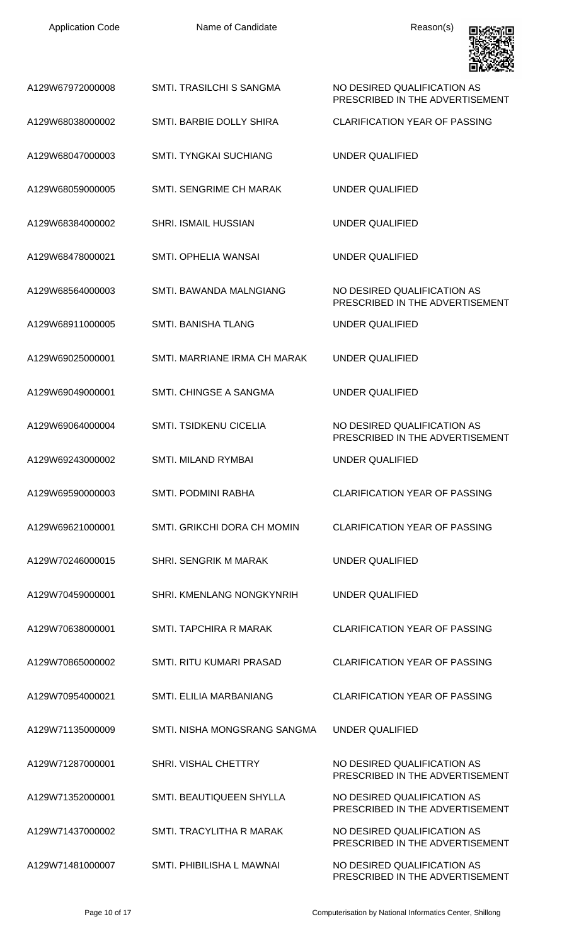| <b>Application Code</b> | Name of Candidate              | Reason(s)                                                      |
|-------------------------|--------------------------------|----------------------------------------------------------------|
| A129W67972000008        | SMTL TRASILCHI S SANGMA        | NO DESIRED QUALIFICATION AS<br>PRESCRIBED IN THE ADVERTISEMENT |
| A129W68038000002        | SMTI. BARBIE DOLLY SHIRA       | <b>CLARIFICATION YEAR OF PASSING</b>                           |
| A129W68047000003        | SMTI, TYNGKAI SUCHIANG         | UNDER QUALIFIED                                                |
| A129W68059000005        | SMTI. SENGRIME CH MARAK        | UNDER QUALIFIED                                                |
| A129W68384000002        | <b>SHRI. ISMAIL HUSSIAN</b>    | UNDER QUALIFIED                                                |
| A129W68478000021        | SMTI. OPHELIA WANSAI           | <b>UNDER QUALIFIED</b>                                         |
| A129W68564000003        | SMTI. BAWANDA MALNGIANG        | NO DESIRED QUALIFICATION AS<br>PRESCRIBED IN THE ADVERTISEMENT |
| A129W68911000005        | <b>SMTI. BANISHA TLANG</b>     | <b>UNDER QUALIFIED</b>                                         |
| A129W69025000001        | SMTI. MARRIANE IRMA CH MARAK   | <b>UNDER QUALIFIED</b>                                         |
| A129W69049000001        | SMTI. CHINGSE A SANGMA         | <b>UNDER QUALIFIED</b>                                         |
| A129W69064000004        | <b>SMTI. TSIDKENU CICELIA</b>  | NO DESIRED QUALIFICATION AS<br>PRESCRIBED IN THE ADVERTISEMENT |
| A129W69243000002        | <b>SMTI. MILAND RYMBAI</b>     | <b>UNDER QUALIFIED</b>                                         |
| A129W69590000003        | <b>SMTI. PODMINI RABHA</b>     | <b>CLARIFICATION YEAR OF PASSING</b>                           |
| A129W69621000001        | SMTI. GRIKCHI DORA CH MOMIN    | <b>CLARIFICATION YEAR OF PASSING</b>                           |
| A129W70246000015        | <b>SHRI. SENGRIK M MARAK</b>   | <b>UNDER QUALIFIED</b>                                         |
| A129W70459000001        | SHRI. KMENLANG NONGKYNRIH      | <b>UNDER QUALIFIED</b>                                         |
| A129W70638000001        | SMTI. TAPCHIRA R MARAK         | <b>CLARIFICATION YEAR OF PASSING</b>                           |
| A129W70865000002        | SMTI. RITU KUMARI PRASAD       | <b>CLARIFICATION YEAR OF PASSING</b>                           |
| A129W70954000021        | <b>SMTI. ELILIA MARBANIANG</b> | <b>CLARIFICATION YEAR OF PASSING</b>                           |
| A129W71135000009        | SMTI. NISHA MONGSRANG SANGMA   | UNDER QUALIFIED                                                |
| A129W71287000001        | <b>SHRI, VISHAL CHETTRY</b>    | NO DESIRED OUALIFICATION AS<br>PRESCRIBED IN THE ADVERTISEMENT |
| A129W71352000001        | SMTI. BEAUTIQUEEN SHYLLA       | NO DESIRED QUALIFICATION AS<br>PRESCRIBED IN THE ADVERTISEMENT |
| A129W71437000002        | SMTI. TRACYLITHA R MARAK       | NO DESIRED OUALIFICATION AS<br>PRESCRIBED IN THE ADVERTISEMENT |
| A129W71481000007        | SMTI. PHIBILISHA L MAWNAI      | NO DESIRED QUALIFICATION AS<br>PRESCRIBED IN THE ADVERTISEMENT |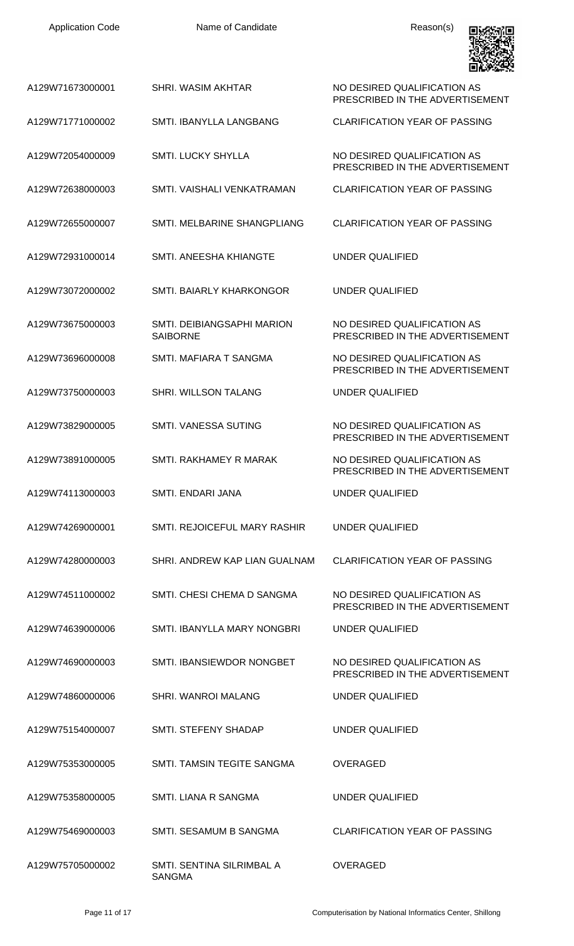| <b>Application Code</b> | Name of Candidate                             | Reason(s)                                                      |
|-------------------------|-----------------------------------------------|----------------------------------------------------------------|
| A129W71673000001        | <b>SHRI. WASIM AKHTAR</b>                     | NO DESIRED QUALIFICATION AS<br>PRESCRIBED IN THE ADVERTISEMENT |
| A129W71771000002        | SMTL IBANYLLA LANGBANG                        | <b>CLARIFICATION YEAR OF PASSING</b>                           |
| A129W72054000009        | <b>SMTI. LUCKY SHYLLA</b>                     | NO DESIRED QUALIFICATION AS<br>PRESCRIBED IN THE ADVERTISEMENT |
| A129W72638000003        | SMTI, VAISHALI VENKATRAMAN                    | <b>CLARIFICATION YEAR OF PASSING</b>                           |
| A129W72655000007        | SMTI. MELBARINE SHANGPLIANG                   | <b>CLARIFICATION YEAR OF PASSING</b>                           |
| A129W72931000014        | SMTI. ANEESHA KHIANGTE                        | <b>UNDER QUALIFIED</b>                                         |
| A129W73072000002        | SMTI. BAIARLY KHARKONGOR                      | <b>UNDER QUALIFIED</b>                                         |
| A129W73675000003        | SMTI. DEIBIANGSAPHI MARION<br><b>SAIBORNE</b> | NO DESIRED QUALIFICATION AS<br>PRESCRIBED IN THE ADVERTISEMENT |
| A129W73696000008        | SMTI. MAFIARA T SANGMA                        | NO DESIRED QUALIFICATION AS<br>PRESCRIBED IN THE ADVERTISEMENT |
| A129W73750000003        | SHRI. WILLSON TALANG                          | <b>UNDER QUALIFIED</b>                                         |
| A129W73829000005        | <b>SMTI. VANESSA SUTING</b>                   | NO DESIRED QUALIFICATION AS<br>PRESCRIBED IN THE ADVERTISEMENT |
| A129W73891000005        | SMTI, RAKHAMEY R MARAK                        | NO DESIRED QUALIFICATION AS<br>PRESCRIBED IN THE ADVERTISEMENT |
| A129W74113000003        | SMTI. ENDARI JANA                             | <b>UNDER QUALIFIED</b>                                         |
| A129W74269000001        | SMTI. REJOICEFUL MARY RASHIR                  | UNDER QUALIFIED                                                |
| A129W74280000003        | SHRI. ANDREW KAP LIAN GUALNAM                 | <b>CLARIFICATION YEAR OF PASSING</b>                           |
| A129W74511000002        | SMTI. CHESI CHEMA D SANGMA                    | NO DESIRED QUALIFICATION AS<br>PRESCRIBED IN THE ADVERTISEMENT |
| A129W74639000006        | SMTI. IBANYLLA MARY NONGBRI                   | UNDER QUALIFIED                                                |
| A129W74690000003        | SMTI. IBANSIEWDOR NONGBET                     | NO DESIRED QUALIFICATION AS<br>PRESCRIBED IN THE ADVERTISEMENT |
| A129W74860000006        | <b>SHRI. WANROI MALANG</b>                    | UNDER QUALIFIED                                                |
| A129W75154000007        | SMTI. STEFENY SHADAP                          | UNDER QUALIFIED                                                |
| A129W75353000005        | SMTI. TAMSIN TEGITE SANGMA                    | <b>OVERAGED</b>                                                |
| A129W75358000005        | SMTI. LIANA R SANGMA                          | UNDER QUALIFIED                                                |
| A129W75469000003        | SMTI. SESAMUM B SANGMA                        | <b>CLARIFICATION YEAR OF PASSING</b>                           |
| A129W75705000002        | SMTI. SENTINA SILRIMBAL A<br><b>SANGMA</b>    | OVERAGED                                                       |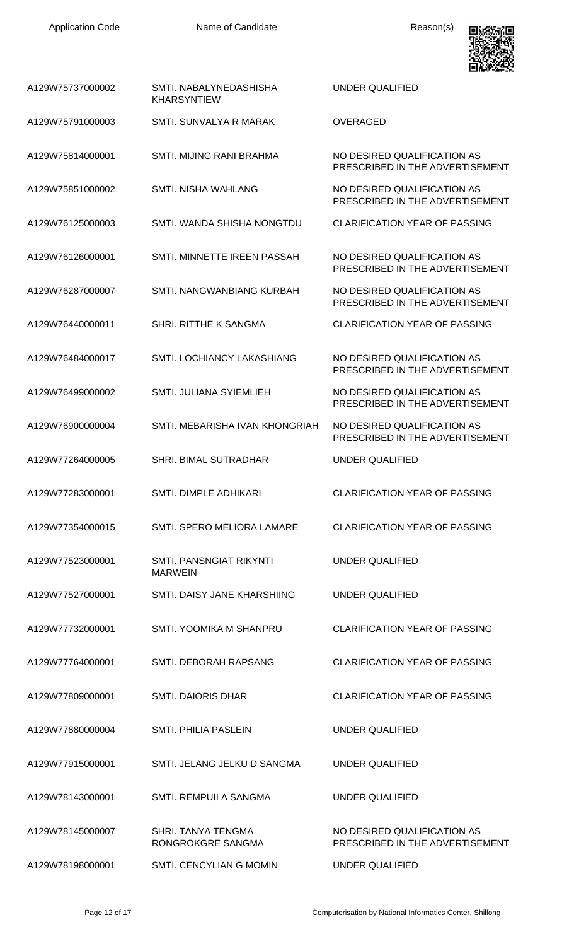

| A129W75737000002 | SMTI, NABALYNEDASHISHA<br><b>KHARSYNTIEW</b> | UNDER QUALIFIED                                                |
|------------------|----------------------------------------------|----------------------------------------------------------------|
| A129W75791000003 | SMTI. SUNVALYA R MARAK                       | <b>OVERAGED</b>                                                |
| A129W75814000001 | SMTI. MIJING RANI BRAHMA                     | NO DESIRED QUALIFICATION AS<br>PRESCRIBED IN THE ADVERTISEMENT |
| A129W75851000002 | <b>SMTI. NISHA WAHLANG</b>                   | NO DESIRED QUALIFICATION AS<br>PRESCRIBED IN THE ADVERTISEMENT |
| A129W76125000003 | SMTI. WANDA SHISHA NONGTDU                   | <b>CLARIFICATION YEAR OF PASSING</b>                           |
| A129W76126000001 | SMTI, MINNETTE IREEN PASSAH                  | NO DESIRED QUALIFICATION AS<br>PRESCRIBED IN THE ADVERTISEMENT |
| A129W76287000007 | SMTI, NANGWANBIANG KURBAH                    | NO DESIRED QUALIFICATION AS<br>PRESCRIBED IN THE ADVERTISEMENT |
| A129W76440000011 | <b>SHRI. RITTHE K SANGMA</b>                 | <b>CLARIFICATION YEAR OF PASSING</b>                           |
| A129W76484000017 | <b>SMTI. LOCHIANCY LAKASHIANG</b>            | NO DESIRED QUALIFICATION AS<br>PRESCRIBED IN THE ADVERTISEMENT |
| A129W76499000002 | SMTI. JULIANA SYIEMLIEH                      | NO DESIRED QUALIFICATION AS<br>PRESCRIBED IN THE ADVERTISEMENT |
| A129W76900000004 | SMTI. MEBARISHA IVAN KHONGRIAH               | NO DESIRED QUALIFICATION AS<br>PRESCRIBED IN THE ADVERTISEMENT |
| A129W77264000005 | <b>SHRI. BIMAL SUTRADHAR</b>                 | <b>UNDER QUALIFIED</b>                                         |
| A129W77283000001 | SMTI. DIMPLE ADHIKARI                        | <b>CLARIFICATION YEAR OF PASSING</b>                           |
| A129W77354000015 | SMTI. SPERO MELIORA LAMARE                   | <b>CLARIFICATION YEAR OF PASSING</b>                           |
| A129W77523000001 | SMTI. PANSNGIAT RIKYNTI<br><b>MARWEIN</b>    | UNDER QUALIFIED                                                |
| A129W77527000001 | SMTI. DAISY JANE KHARSHIING                  | <b>UNDER QUALIFIED</b>                                         |
| A129W77732000001 | SMTI. YOOMIKA M SHANPRU                      | <b>CLARIFICATION YEAR OF PASSING</b>                           |
| A129W77764000001 | SMTI. DEBORAH RAPSANG                        | <b>CLARIFICATION YEAR OF PASSING</b>                           |
| A129W77809000001 | <b>SMTI. DAIORIS DHAR</b>                    | <b>CLARIFICATION YEAR OF PASSING</b>                           |
| A129W77880000004 | SMTI. PHILIA PASLEIN                         | <b>UNDER QUALIFIED</b>                                         |
| A129W77915000001 | SMTI. JELANG JELKU D SANGMA                  | UNDER QUALIFIED                                                |
| A129W78143000001 | SMTI. REMPUII A SANGMA                       | <b>UNDER QUALIFIED</b>                                         |
| A129W78145000007 | SHRI. TANYA TENGMA<br>RONGROKGRE SANGMA      | NO DESIRED QUALIFICATION AS<br>PRESCRIBED IN THE ADVERTISEMENT |
| A129W78198000001 | SMTI. CENCYLIAN G MOMIN                      | <b>UNDER QUALIFIED</b>                                         |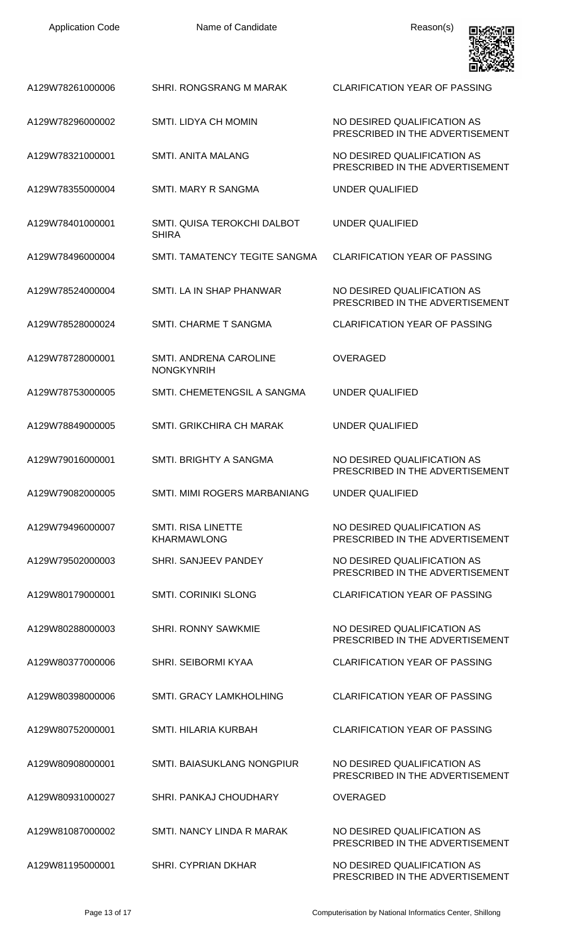| <b>Application Code</b> | Name of Candidate                                  | Reason(s)                                                      |
|-------------------------|----------------------------------------------------|----------------------------------------------------------------|
| A129W78261000006        | SHRI. RONGSRANG M MARAK                            | <b>CLARIFICATION YEAR OF PASSING</b>                           |
| A129W78296000002        | <b>SMTI. LIDYA CH MOMIN</b>                        | NO DESIRED QUALIFICATION AS<br>PRESCRIBED IN THE ADVERTISEMENT |
| A129W78321000001        | SMTI. ANITA MALANG                                 | NO DESIRED QUALIFICATION AS<br>PRESCRIBED IN THE ADVERTISEMENT |
| A129W78355000004        | <b>SMTI. MARY R SANGMA</b>                         | UNDER QUALIFIED                                                |
| A129W78401000001        | SMTI. QUISA TEROKCHI DALBOT<br><b>SHIRA</b>        | UNDER QUALIFIED                                                |
| A129W78496000004        | SMTI. TAMATENCY TEGITE SANGMA                      | <b>CLARIFICATION YEAR OF PASSING</b>                           |
| A129W78524000004        | SMTI. LA IN SHAP PHANWAR                           | NO DESIRED QUALIFICATION AS<br>PRESCRIBED IN THE ADVERTISEMENT |
| A129W78528000024        | <b>SMTI. CHARME T SANGMA</b>                       | <b>CLARIFICATION YEAR OF PASSING</b>                           |
| A129W78728000001        | <b>SMTI. ANDRENA CAROLINE</b><br><b>NONGKYNRIH</b> | <b>OVERAGED</b>                                                |
| A129W78753000005        | SMTI. CHEMETENGSIL A SANGMA                        | UNDER QUALIFIED                                                |
| A129W78849000005        | SMTI, GRIKCHIRA CH MARAK                           | UNDER QUALIFIED                                                |
| A129W79016000001        | SMTI. BRIGHTY A SANGMA                             | NO DESIRED QUALIFICATION AS<br>PRESCRIBED IN THE ADVERTISEMENT |
| A129W79082000005        | SMTI. MIMI ROGERS MARBANIANG                       | UNDER QUALIFIED                                                |
| A129W79496000007        | <b>SMTI. RISA LINETTE</b><br><b>KHARMAWLONG</b>    | NO DESIRED QUALIFICATION AS<br>PRESCRIBED IN THE ADVERTISEMENT |
| A129W79502000003        | SHRI. SANJEEV PANDEY                               | NO DESIRED QUALIFICATION AS<br>PRESCRIBED IN THE ADVERTISEMENT |
| A129W80179000001        | <b>SMTI. CORINIKI SLONG</b>                        | <b>CLARIFICATION YEAR OF PASSING</b>                           |
| A129W80288000003        | <b>SHRI. RONNY SAWKMIE</b>                         | NO DESIRED QUALIFICATION AS<br>PRESCRIBED IN THE ADVERTISEMENT |
| A129W80377000006        | <b>SHRI. SEIBORMI KYAA</b>                         | <b>CLARIFICATION YEAR OF PASSING</b>                           |
| A129W80398000006        | <b>SMTI. GRACY LAMKHOLHING</b>                     | <b>CLARIFICATION YEAR OF PASSING</b>                           |
| A129W80752000001        | <b>SMTI. HILARIA KURBAH</b>                        | <b>CLARIFICATION YEAR OF PASSING</b>                           |
| A129W80908000001        | <b>SMTI. BAIASUKLANG NONGPIUR</b>                  | NO DESIRED QUALIFICATION AS<br>PRESCRIBED IN THE ADVERTISEMENT |
| A129W80931000027        | <b>SHRI, PANKAJ CHOUDHARY</b>                      | <b>OVERAGED</b>                                                |
| A129W81087000002        | SMTI. NANCY LINDA R MARAK                          | NO DESIRED QUALIFICATION AS<br>PRESCRIBED IN THE ADVERTISEMENT |
| A129W81195000001        | SHRI. CYPRIAN DKHAR                                | NO DESIRED QUALIFICATION AS<br>PRESCRIBED IN THE ADVERTISEMENT |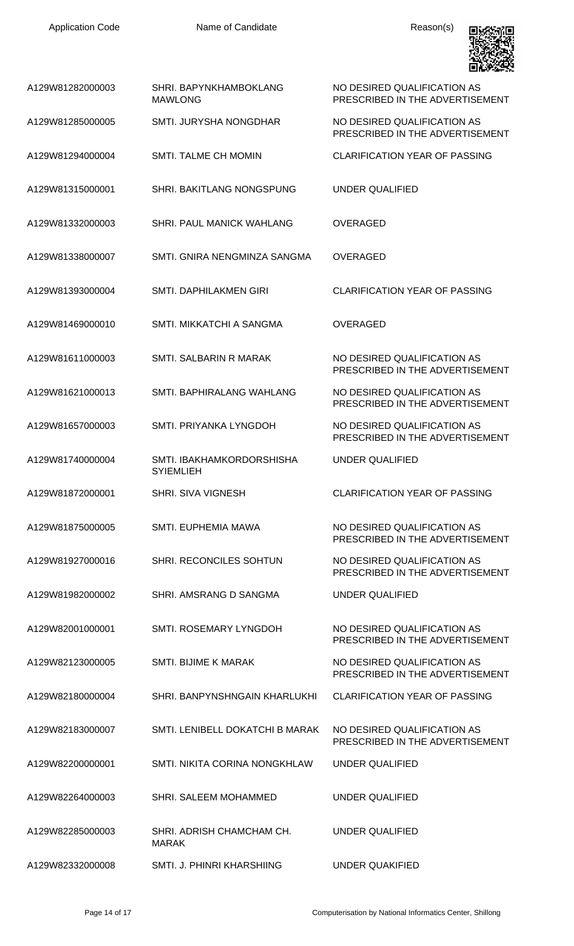

| A129W81282000003 | SHRI, BAPYNKHAMBOKLANG<br><b>MAWLONG</b>      | NO DESIRED QUALIFICATION AS<br>PRESCRIBED IN THE ADVERTISEMENT |
|------------------|-----------------------------------------------|----------------------------------------------------------------|
| A129W81285000005 | SMTI. JURYSHA NONGDHAR                        | NO DESIRED QUALIFICATION AS<br>PRESCRIBED IN THE ADVERTISEMENT |
| A129W81294000004 | SMTI. TALME CH MOMIN                          | <b>CLARIFICATION YEAR OF PASSING</b>                           |
| A129W81315000001 | SHRI. BAKITLANG NONGSPUNG                     | <b>UNDER QUALIFIED</b>                                         |
| A129W81332000003 | SHRI. PAUL MANICK WAHLANG                     | <b>OVERAGED</b>                                                |
| A129W81338000007 | SMTI. GNIRA NENGMINZA SANGMA                  | <b>OVERAGED</b>                                                |
| A129W81393000004 | <b>SMTI. DAPHILAKMEN GIRI</b>                 | CLARIFICATION YEAR OF PASSING                                  |
| A129W81469000010 | SMTI. MIKKATCHI A SANGMA                      | OVERAGED                                                       |
| A129W81611000003 | SMTI. SALBARIN R MARAK                        | NO DESIRED QUALIFICATION AS<br>PRESCRIBED IN THE ADVERTISEMENT |
| A129W81621000013 | SMTI. BAPHIRALANG WAHLANG                     | NO DESIRED QUALIFICATION AS<br>PRESCRIBED IN THE ADVERTISEMENT |
| A129W81657000003 | SMTI. PRIYANKA LYNGDOH                        | NO DESIRED QUALIFICATION AS<br>PRESCRIBED IN THE ADVERTISEMENT |
| A129W81740000004 | SMTI. IBAKHAMKORDORSHISHA<br><b>SYIEMLIEH</b> | <b>UNDER QUALIFIED</b>                                         |
| A129W81872000001 | SHRI. SIVA VIGNESH                            | <b>CLARIFICATION YEAR OF PASSING</b>                           |
| A129W81875000005 | SMTI. EUPHEMIA MAWA                           | NO DESIRED QUALIFICATION AS<br>PRESCRIBED IN THE ADVERTISEMENT |
| A129W81927000016 | <b>SHRI. RECONCILES SOHTUN</b>                | NO DESIRED QUALIFICATION AS<br>PRESCRIBED IN THE ADVERTISEMENT |
| A129W81982000002 | SHRI, AMSRANG D SANGMA                        | UNDER QUALIFIED                                                |
| A129W82001000001 | SMTI. ROSEMARY LYNGDOH                        | NO DESIRED QUALIFICATION AS<br>PRESCRIBED IN THE ADVERTISEMENT |
| A129W82123000005 | SMTI. BIJIME K MARAK                          | NO DESIRED QUALIFICATION AS<br>PRESCRIBED IN THE ADVERTISEMENT |
| A129W82180000004 | SHRI. BANPYNSHNGAIN KHARLUKHI                 | <b>CLARIFICATION YEAR OF PASSING</b>                           |
| A129W82183000007 | SMTI. LENIBELL DOKATCHI B MARAK               | NO DESIRED QUALIFICATION AS<br>PRESCRIBED IN THE ADVERTISEMENT |
| A129W82200000001 | <b>SMTI. NIKITA CORINA NONGKHLAW</b>          | UNDER QUALIFIED                                                |
| A129W82264000003 | SHRI. SALEEM MOHAMMED                         | <b>UNDER QUALIFIED</b>                                         |
| A129W82285000003 | SHRI, ADRISH CHAMCHAM CH.<br><b>MARAK</b>     | UNDER QUALIFIED                                                |
| A129W82332000008 | SMTI. J. PHINRI KHARSHIING                    | <b>UNDER QUAKIFIED</b>                                         |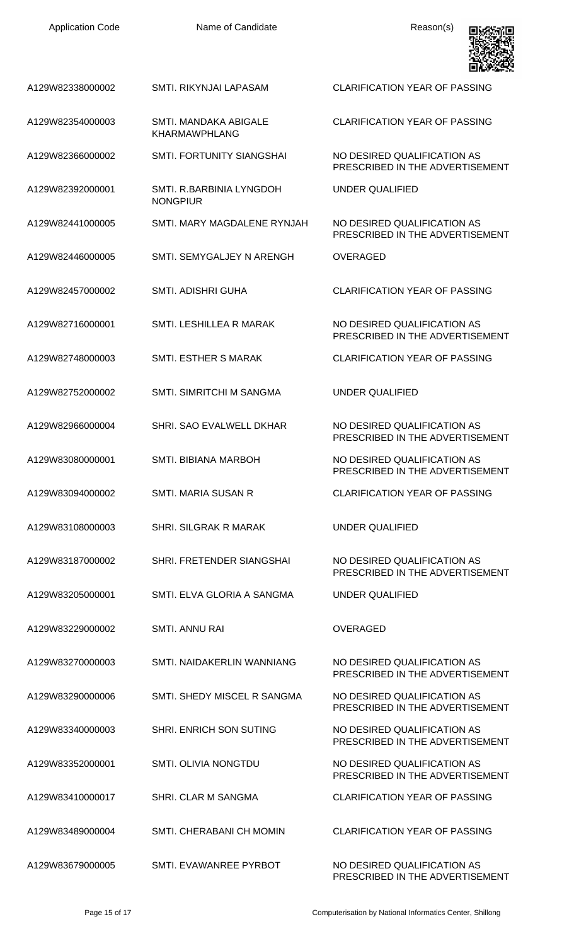| <b>Application Code</b> | Name of Candidate                             | Reason(s)                                                      |
|-------------------------|-----------------------------------------------|----------------------------------------------------------------|
| A129W82338000002        | SMTI. RIKYNJAI LAPASAM                        | <b>CLARIFICATION YEAR OF PASSING</b>                           |
| A129W82354000003        | SMTI. MANDAKA ABIGALE<br><b>KHARMAWPHLANG</b> | <b>CLARIFICATION YEAR OF PASSING</b>                           |
| A129W82366000002        | <b>SMTI. FORTUNITY SIANGSHAI</b>              | NO DESIRED QUALIFICATION AS<br>PRESCRIBED IN THE ADVERTISEMENT |
| A129W82392000001        | SMTI. R.BARBINIA LYNGDOH<br><b>NONGPIUR</b>   | <b>UNDER QUALIFIED</b>                                         |
| A129W82441000005        | SMTI. MARY MAGDALENE RYNJAH                   | NO DESIRED QUALIFICATION AS<br>PRESCRIBED IN THE ADVERTISEMENT |
| A129W82446000005        | SMTI. SEMYGALJEY N ARENGH                     | <b>OVERAGED</b>                                                |
| A129W82457000002        | <b>SMTI. ADISHRI GUHA</b>                     | <b>CLARIFICATION YEAR OF PASSING</b>                           |
| A129W82716000001        | SMTI. LESHILLEA R MARAK                       | NO DESIRED QUALIFICATION AS<br>PRESCRIBED IN THE ADVERTISEMENT |
| A129W82748000003        | SMTI. ESTHER S MARAK                          | <b>CLARIFICATION YEAR OF PASSING</b>                           |
| A129W82752000002        | SMTI. SIMRITCHI M SANGMA                      | <b>UNDER QUALIFIED</b>                                         |
| A129W82966000004        | SHRI. SAO EVALWELL DKHAR                      | NO DESIRED QUALIFICATION AS<br>PRESCRIBED IN THE ADVERTISEMENT |
| A129W83080000001        | <b>SMTI. BIBIANA MARBOH</b>                   | NO DESIRED QUALIFICATION AS<br>PRESCRIBED IN THE ADVERTISEMENT |
| A129W83094000002        | <b>SMTI, MARIA SUSAN R</b>                    | <b>CLARIFICATION YEAR OF PASSING</b>                           |
| A129W83108000003        | <b>SHRI. SILGRAK R MARAK</b>                  | UNDER QUALIFIED                                                |
| A129W83187000002        | SHRI. FRETENDER SIANGSHAI                     | NO DESIRED QUALIFICATION AS<br>PRESCRIBED IN THE ADVERTISEMENT |
| A129W83205000001        | SMTI. ELVA GLORIA A SANGMA                    | UNDER QUALIFIED                                                |
| A129W83229000002        | <b>SMTI. ANNU RAI</b>                         | <b>OVERAGED</b>                                                |
| A129W83270000003        | SMTI. NAIDAKERLIN WANNIANG                    | NO DESIRED QUALIFICATION AS<br>PRESCRIBED IN THE ADVERTISEMENT |
| A129W83290000006        | SMTI. SHEDY MISCEL R SANGMA                   | NO DESIRED QUALIFICATION AS<br>PRESCRIBED IN THE ADVERTISEMENT |
| A129W83340000003        | <b>SHRI. ENRICH SON SUTING</b>                | NO DESIRED QUALIFICATION AS<br>PRESCRIBED IN THE ADVERTISEMENT |
| A129W83352000001        | <b>SMTI. OLIVIA NONGTDU</b>                   | NO DESIRED QUALIFICATION AS<br>PRESCRIBED IN THE ADVERTISEMENT |
| A129W83410000017        | <b>SHRI. CLAR M SANGMA</b>                    | <b>CLARIFICATION YEAR OF PASSING</b>                           |
| A129W83489000004        | SMTI, CHERABANI CH MOMIN                      | <b>CLARIFICATION YEAR OF PASSING</b>                           |
| A129W83679000005        | SMTI. EVAWANREE PYRBOT                        | NO DESIRED QUALIFICATION AS                                    |

PRESCRIBED IN THE ADVERTISEMENT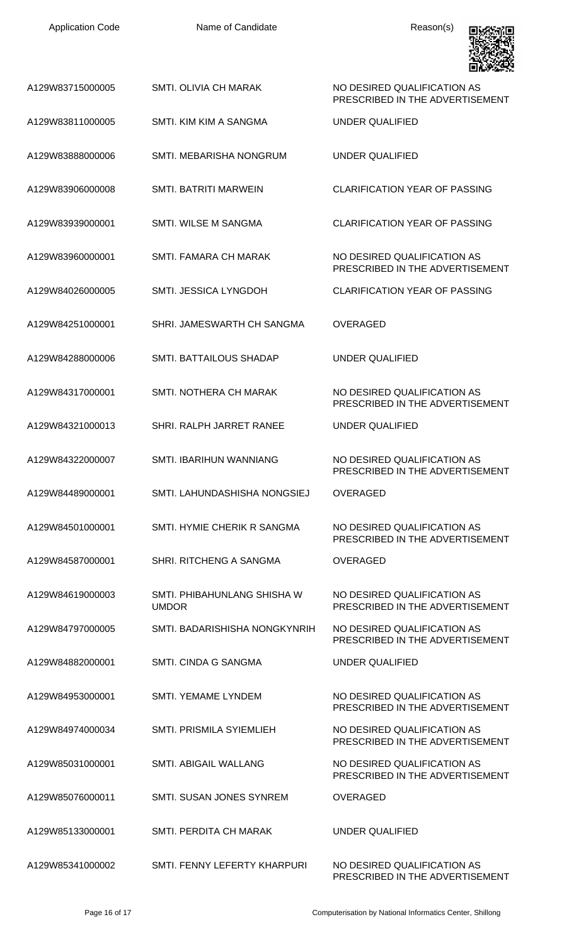| <b>Application Code</b> | Name of Candidate                           | Reason(s)                                                      |
|-------------------------|---------------------------------------------|----------------------------------------------------------------|
| A129W83715000005        | <b>SMTI. OLIVIA CH MARAK</b>                | NO DESIRED QUALIFICATION AS<br>PRESCRIBED IN THE ADVERTISEMENT |
| A129W83811000005        | SMTI. KIM KIM A SANGMA                      | UNDER QUALIFIED                                                |
| A129W83888000006        | SMTI. MEBARISHA NONGRUM                     | UNDER QUALIFIED                                                |
| A129W83906000008        | <b>SMTI. BATRITI MARWEIN</b>                | <b>CLARIFICATION YEAR OF PASSING</b>                           |
| A129W83939000001        | <b>SMTI. WILSE M SANGMA</b>                 | <b>CLARIFICATION YEAR OF PASSING</b>                           |
| A129W83960000001        | SMTI. FAMARA CH MARAK                       | NO DESIRED QUALIFICATION AS<br>PRESCRIBED IN THE ADVERTISEMENT |
| A129W84026000005        | SMTI. JESSICA LYNGDOH                       | <b>CLARIFICATION YEAR OF PASSING</b>                           |
| A129W84251000001        | SHRI. JAMESWARTH CH SANGMA                  | <b>OVERAGED</b>                                                |
| A129W84288000006        | SMTI. BATTAILOUS SHADAP                     | UNDER QUALIFIED                                                |
| A129W84317000001        | SMTI. NOTHERA CH MARAK                      | NO DESIRED QUALIFICATION AS<br>PRESCRIBED IN THE ADVERTISEMENT |
| A129W84321000013        | SHRI. RALPH JARRET RANEE                    | <b>UNDER QUALIFIED</b>                                         |
| A129W84322000007        | SMTI. IBARIHUN WANNIANG                     | NO DESIRED QUALIFICATION AS<br>PRESCRIBED IN THE ADVERTISEMENT |
| A129W84489000001        | SMTI. LAHUNDASHISHA NONGSIEJ                | <b>OVERAGED</b>                                                |
| A129W84501000001        | SMTI. HYMIE CHERIK R SANGMA                 | NO DESIRED OUALIFICATION AS<br>PRESCRIBED IN THE ADVERTISEMENT |
| A129W84587000001        | SHRI. RITCHENG A SANGMA                     | <b>OVERAGED</b>                                                |
| A129W84619000003        | SMTI. PHIBAHUNLANG SHISHA W<br><b>UMDOR</b> | NO DESIRED QUALIFICATION AS<br>PRESCRIBED IN THE ADVERTISEMENT |
| A129W84797000005        | SMTI. BADARISHISHA NONGKYNRIH               | NO DESIRED QUALIFICATION AS<br>PRESCRIBED IN THE ADVERTISEMENT |
| A129W84882000001        | SMTI. CINDA G SANGMA                        | <b>UNDER QUALIFIED</b>                                         |
| A129W84953000001        | <b>SMTI. YEMAME LYNDEM</b>                  | NO DESIRED QUALIFICATION AS<br>PRESCRIBED IN THE ADVERTISEMENT |
| A129W84974000034        | <b>SMTI. PRISMILA SYIEMLIEH</b>             | NO DESIRED QUALIFICATION AS<br>PRESCRIBED IN THE ADVERTISEMENT |
| A129W85031000001        | SMTI. ABIGAIL WALLANG                       | NO DESIRED QUALIFICATION AS<br>PRESCRIBED IN THE ADVERTISEMENT |
| A129W85076000011        | SMTI. SUSAN JONES SYNREM                    | <b>OVERAGED</b>                                                |
| A129W85133000001        | SMTI. PERDITA CH MARAK                      | UNDER QUALIFIED                                                |
| A129W85341000002        | SMTI. FENNY LEFERTY KHARPURI                | NO DESIRED QUALIFICATION AS<br>PRESCRIBED IN THE ADVERTISEMENT |